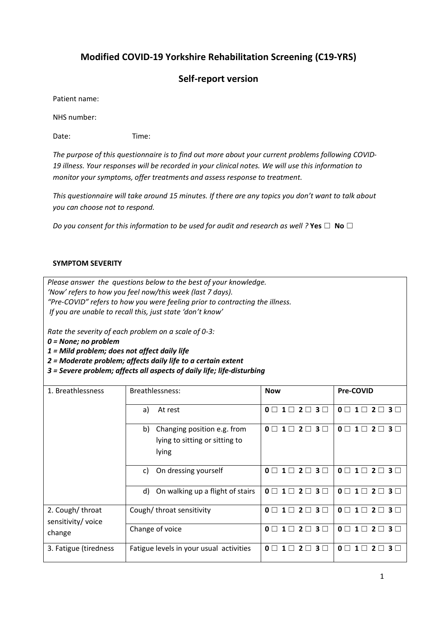# **Modified COVID-19 Yorkshire Rehabilitation Screening (C19-YRS)**

# **Self-report version**

Patient name:

NHS number:

Date: Time:

*The purpose of this questionnaire is to find out more about your current problems following COVID-19 illness. Your responses will be recorded in your clinical notes. We will use this information to monitor your symptoms, offer treatments and assess response to treatment.* 

*This questionnaire will take around 15 minutes. If there are any topics you don't want to talk about you can choose not to respond.*

*Do you consent for this information to be used for audit and research as well ?* **Yes** ☐ **No** ☐

#### **SYMPTOM SEVERITY**

*Please answer the questions below to the best of your knowledge. 'Now' refers to how you feel now/this week (last 7 days). "Pre-COVID" refers to how you were feeling prior to contracting the illness. If you are unable to recall this, just state 'don't know'*

*Rate the severity of each problem on a scale of 0-3:*

*0 = None; no problem*

*1 = Mild problem; does not affect daily life*

*2 = Moderate problem; affects daily life to a certain extent*

*3 = Severe problem; affects all aspects of daily life; life-disturbing*

| 1. Breathlessness                               | Breathlessness:                                                              | <b>Now</b>                                                           | <b>Pre-COVID</b>                                                          |
|-------------------------------------------------|------------------------------------------------------------------------------|----------------------------------------------------------------------|---------------------------------------------------------------------------|
|                                                 | At rest<br>a)                                                                | $1 \square 2 \square 3 \square$<br>$\mathbf{0}$ $\Box$               | $\mathbf{0}$ $\Box$<br>$1\Box$<br>$3\Box$<br>$\mathbf{z}$                 |
|                                                 | Changing position e.g. from<br>b)<br>lying to sitting or sitting to<br>lying | $\Omega \Box$<br>$2\Box$<br>3 <sub>1</sub><br>$1 \Box$               | $\mathbf{0}$ $\Box$<br>3 <sub>1</sub><br>$1\Box$                          |
|                                                 | On dressing yourself<br>C)                                                   | $1 \square 2 \square 3 \square$<br>$\mathbf{0}$ $\Box$               | $0 \square 1 \square$<br>$2\square$<br>3 <sup>1</sup>                     |
|                                                 | On walking up a flight of stairs<br>d)                                       | $1 \square 2 \square 3 \square$<br>$\mathbf{0}$ $\Box$               | $\mathbf{0}$ $\Box$<br>$\mathbf{1}$<br>$3\square$<br>$2\Box$              |
| 2. Cough/throat<br>sensitivity/ voice<br>change | Cough/throat sensitivity                                                     | $2\Box$<br>$1 \Box$<br>3 <sup>1</sup><br>$\mathbf{0}$ $\Box$         | 0 <sub>0</sub><br>$\mathbf{1} \Box$<br>3 <sub>1</sub><br>$\boldsymbol{z}$ |
|                                                 | Change of voice                                                              | $2\Box$<br>$\mathbf{0}$ $\Box$<br>$1\Box$<br>$3 \Box$                | $\mathbf{0}$ $\Box$<br>$\mathbf{1} \Box$<br>$3 \Box$                      |
| 3. Fatigue (tiredness                           | Fatigue levels in your usual activities                                      | $\mathbf{0}$ $\Box$<br>3 <sub>1</sub><br>$1\Box$<br>$\boldsymbol{z}$ | $\mathbf{0}$ $\Box$<br>3 <sub>1</sub>                                     |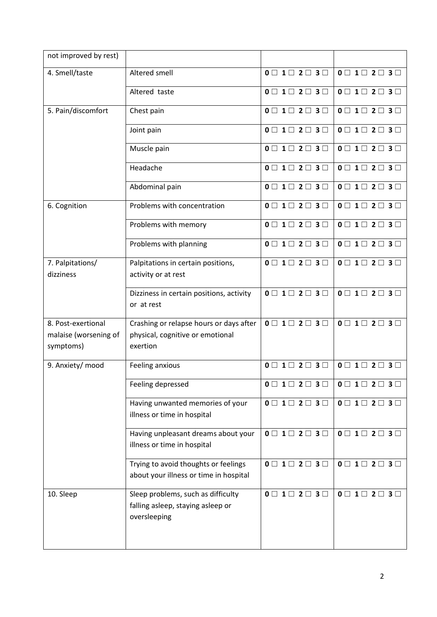| not improved by rest)                                    |                                                                                         |                                                 |                                                 |
|----------------------------------------------------------|-----------------------------------------------------------------------------------------|-------------------------------------------------|-------------------------------------------------|
| 4. Smell/taste                                           | Altered smell                                                                           | $0 \square$ 1 $\square$ 2 $\square$ 3 $\square$ | $0 \square$ 1 $\square$ 2 $\square$ 3 $\square$ |
|                                                          | Altered taste                                                                           | $0 \square$ 1 $\square$ 2 $\square$ 3 $\square$ | $0 \square$ 1 $\square$ 2 $\square$ 3 $\square$ |
| 5. Pain/discomfort                                       | Chest pain                                                                              | $0 \square$ 1 $\square$ 2 $\square$ 3 $\square$ | $0 \square$ 1 $\square$ 2 $\square$ 3 $\square$ |
|                                                          | Joint pain                                                                              | $0 \square 1 \square 2 \square 3 \square$       | $0 \square$ 1 $\square$ 2 $\square$ 3 $\square$ |
|                                                          | Muscle pain                                                                             | $0 \square$ 1 $\square$ 2 $\square$ 3 $\square$ | $0 \square$ 1 $\square$ 2 $\square$ 3 $\square$ |
|                                                          | Headache                                                                                | $0 \square$ 1 $\square$ 2 $\square$ 3 $\square$ | $0 \square$ 1 $\square$ 2 $\square$ 3 $\square$ |
|                                                          | Abdominal pain                                                                          | $0 \square$ 1 $\square$ 2 $\square$ 3 $\square$ | $0 \square$ 1 $\square$ 2 $\square$ 3 $\square$ |
| 6. Cognition                                             | Problems with concentration                                                             | $0 \square$ 1 $\square$ 2 $\square$ 3 $\square$ | $0 \square$ 1 $\square$ 2 $\square$ 3 $\square$ |
|                                                          | Problems with memory                                                                    | $0 \square$ 1 $\square$ 2 $\square$ 3 $\square$ | $0 \square$ 1 $\square$ 2 $\square$ 3 $\square$ |
|                                                          | Problems with planning                                                                  | $0 \square$ 1 $\square$ 2 $\square$ 3 $\square$ | $0 \square$ 1 $\square$ 2 $\square$ 3 $\square$ |
| 7. Palpitations/<br>dizziness                            | Palpitations in certain positions,<br>activity or at rest                               | $0 \square$ 1 $\square$ 2 $\square$ 3 $\square$ | $0 \square$ 1 $\square$ 2 $\square$ 3 $\square$ |
|                                                          | Dizziness in certain positions, activity<br>or at rest                                  | $0 \square 1 \square 2 \square 3 \square$       | $0 \square$ 1 $\square$ 2 $\square$ 3 $\square$ |
| 8. Post-exertional<br>malaise (worsening of<br>symptoms) | Crashing or relapse hours or days after<br>physical, cognitive or emotional<br>exertion | $0 \square$ 1 $\square$ 2 $\square$ 3 $\square$ | $0 \square$ 1 $\square$ 2 $\square$ 3 $\square$ |
| 9. Anxiety/ mood                                         | Feeling anxious                                                                         | $0 \square$ 1 $\square$ 2 $\square$ 3 $\square$ | $0 \square$ 1 $\square$ 2 $\square$ 3 $\square$ |
|                                                          | Feeling depressed                                                                       | $0 \square$ 1 $\square$ 2 $\square$ 3 $\square$ | $0 \square$ 1 $\square$ 2 $\square$ 3 $\square$ |
|                                                          | Having unwanted memories of your<br>illness or time in hospital                         | $0 \square$ 1 $\square$ 2 $\square$ 3 $\square$ | $0 \square 1 \square 2 \square 3 \square$       |
|                                                          | Having unpleasant dreams about your<br>illness or time in hospital                      | $0 \square 1 \square 2 \square 3 \square$       | $0 \square$ 1 $\square$ 2 $\square$ 3 $\square$ |
|                                                          | Trying to avoid thoughts or feelings<br>about your illness or time in hospital          | $0 \square 1 \square 2 \square 3 \square$       | $0 \square 1 \square 2 \square 3 \square$       |
| 10. Sleep                                                | Sleep problems, such as difficulty<br>falling asleep, staying asleep or<br>oversleeping | $0 \square$ 1 $\square$ 2 $\square$ 3 $\square$ | $0 \square$ 1 $\square$ 2 $\square$ 3 $\square$ |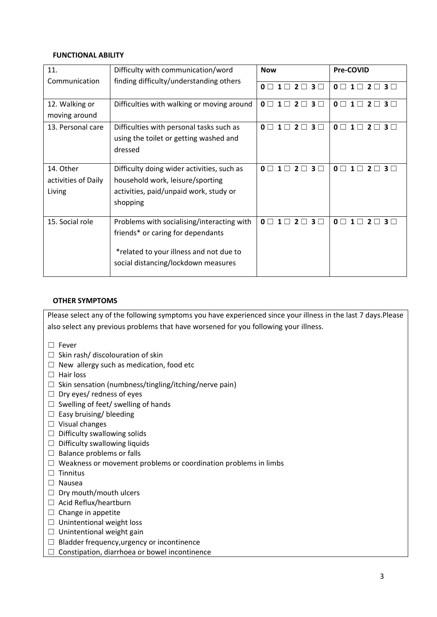#### **FUNCTIONAL ABILITY**

| 11.                 | Difficulty with communication/word         | <b>Now</b>                                                     | Pre-COVID                                               |
|---------------------|--------------------------------------------|----------------------------------------------------------------|---------------------------------------------------------|
| Communication       | finding difficulty/understanding others    | $0 \square$ 1 $\square$ 2 $\square$ 3 $\square$                | $0 \square$ 1 $\square$ 2 $\square$ 3 $\square$         |
| 12. Walking or      | Difficulties with walking or moving around | $0 \square$ 1 $\square$ 2 $\square$ 3 $\square$                | $0 \square$ 1 $\square$ 2 $\square$ 3 $\square$         |
| moving around       |                                            |                                                                |                                                         |
| 13. Personal care   | Difficulties with personal tasks such as   | $2 \square 3 \square$<br>$\mathbf{0}$ $\Box$<br>$\blacksquare$ | $0 \square$ 1 $\square$<br>$2 \square 3 \square$        |
|                     | using the toilet or getting washed and     |                                                                |                                                         |
|                     | dressed                                    |                                                                |                                                         |
| 14. Other           | Difficulty doing wider activities, such as | $\Omega \Box$<br>$\sqcap$ 3 $\sqcap$<br>2 <sup>1</sup>         | $\mathbf{0}$ $\Box$<br>$2 \square 3 \square$<br>$1\Box$ |
| activities of Daily | household work, leisure/sporting           |                                                                |                                                         |
| Living              | activities, paid/unpaid work, study or     |                                                                |                                                         |
|                     | shopping                                   |                                                                |                                                         |
| 15. Social role     | Problems with socialising/interacting with | $0 \square 1 \square$<br>$2 \square 3 \square$                 | $0 \sqcap 1 \sqcap$<br>$2 \square 3 \square$            |
|                     | friends* or caring for dependants          |                                                                |                                                         |
|                     | *related to your illness and not due to    |                                                                |                                                         |
|                     | social distancing/lockdown measures        |                                                                |                                                         |

#### **OTHER SYMPTOMS**

Please select any of the following symptoms you have experienced since your illness in the last 7 days.Please also select any previous problems that have worsened for you following your illness.

- ☐ Fever
- $\Box$  Skin rash/ discolouration of skin
- $\Box$  New allergy such as medication, food etc
- ☐ Hair loss
- $\Box$  Skin sensation (numbness/tingling/itching/nerve pain)
- $\Box$  Dry eyes/ redness of eyes
- $\Box$  Swelling of feet/ swelling of hands
- $\Box$  Easy bruising/ bleeding
- ☐ Visual changes
- $\Box$  Difficulty swallowing solids
- $\Box$  Difficulty swallowing liquids
- $\Box$  Balance problems or falls
- ☐ Weakness or movement problems or coordination problems in limbs
- ☐ Tinnitus
- ☐ Nausea
- $\Box$  Dry mouth/mouth ulcers
- □ Acid Reflux/heartburn
- □ Change in appetite
- □ Unintentional weight loss
- $\Box$  Unintentional weight gain
- ☐ Bladder frequency,urgency or incontinence
- □ Constipation, diarrhoea or bowel incontinence